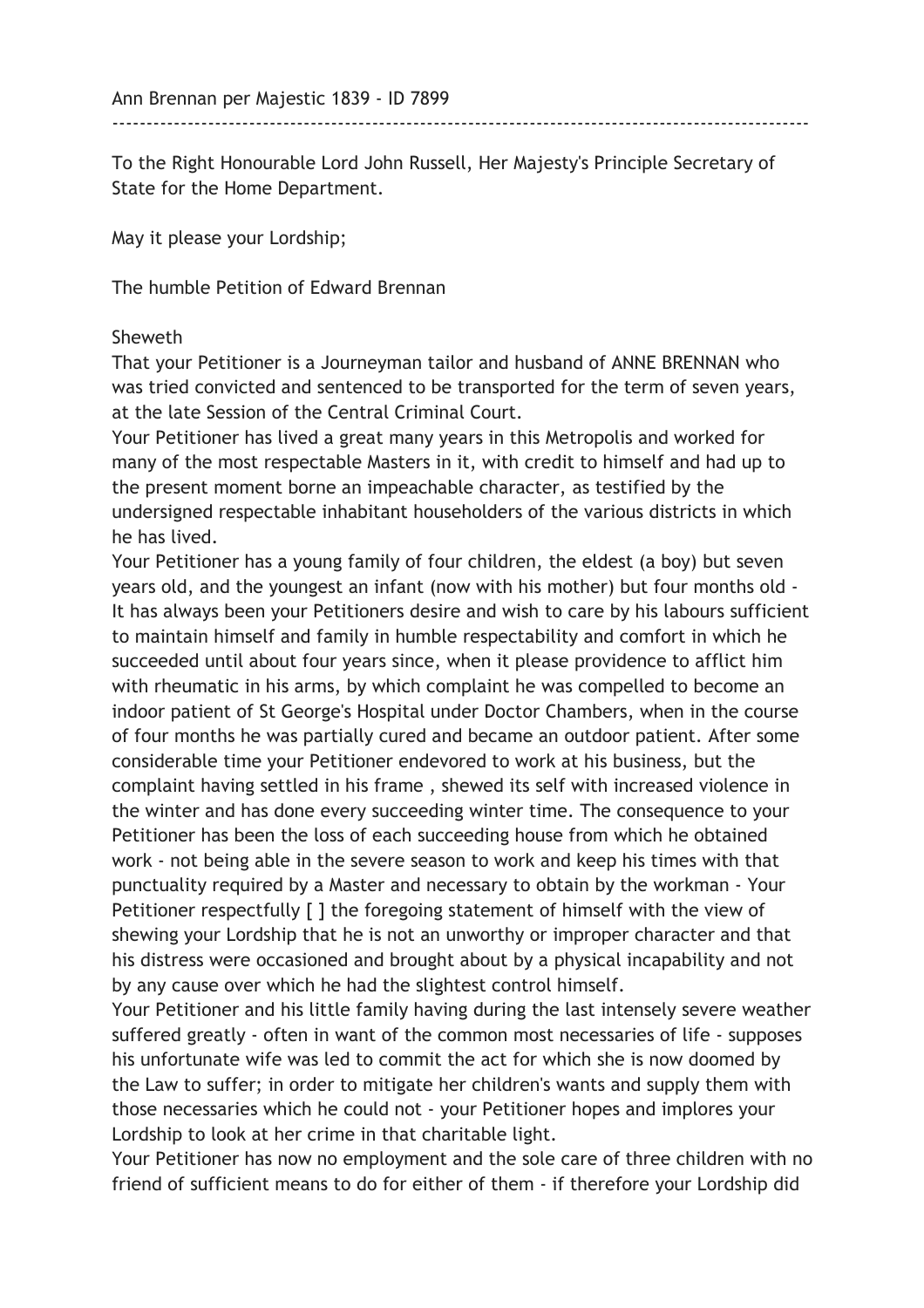To the Right Honourable Lord John Russell, Her Majesty's Principle Secretary of State for the Home Department.

May it please your Lordship;

------------------------------------------------------------------------------------------------------

The humble Petition of Edward Brennan

## Sheweth

That your Petitioner is a Journeyman tailor and husband of ANNE BRENNAN who was tried convicted and sentenced to be transported for the term of seven years, at the late Session of the Central Criminal Court.

Your Petitioner has lived a great many years in this Metropolis and worked for many of the most respectable Masters in it, with credit to himself and had up to the present moment borne an impeachable character, as testified by the undersigned respectable inhabitant householders of the various districts in which he has lived.

Your Petitioner has a young family of four children, the eldest (a boy) but seven years old, and the youngest an infant (now with his mother) but four months old - It has always been your Petitioners desire and wish to care by his labours sufficient to maintain himself and family in humble respectability and comfort in which he succeeded until about four years since, when it please providence to afflict him with rheumatic in his arms, by which complaint he was compelled to become an indoor patient of St George's Hospital under Doctor Chambers, when in the course of four months he was partially cured and became an outdoor patient. After some considerable time your Petitioner endevored to work at his business, but the complaint having settled in his frame , shewed its self with increased violence in the winter and has done every succeeding winter time. The consequence to your Petitioner has been the loss of each succeeding house from which he obtained work - not being able in the severe season to work and keep his times with that punctuality required by a Master and necessary to obtain by the workman - Your Petitioner respectfully [ ] the foregoing statement of himself with the view of shewing your Lordship that he is not an unworthy or improper character and that his distress were occasioned and brought about by a physical incapability and not by any cause over which he had the slightest control himself.

Your Petitioner and his little family having during the last intensely severe weather suffered greatly - often in want of the common most necessaries of life - supposes his unfortunate wife was led to commit the act for which she is now doomed by the Law to suffer; in order to mitigate her children's wants and supply them with those necessaries which he could not - your Petitioner hopes and implores your Lordship to look at her crime in that charitable light.

Your Petitioner has now no employment and the sole care of three children with no friend of sufficient means to do for either of them - if therefore your Lordship did